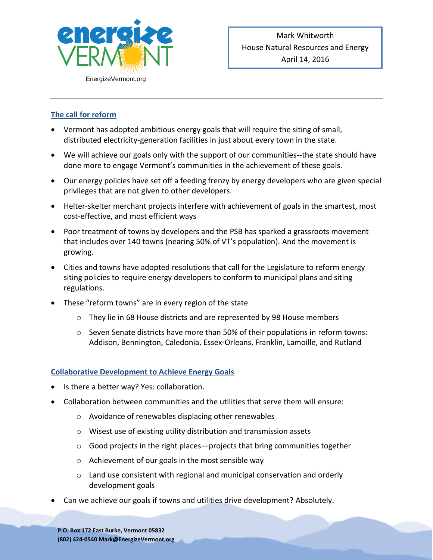

## **The call for reform**

- Vermont has adopted ambitious energy goals that will require the siting of small, distributed electricity-generation facilities in just about every town in the state.
- We will achieve our goals only with the support of our communities--the state should have done more to engage Vermont's communities in the achievement of these goals.
- Our energy policies have set off a feeding frenzy by energy developers who are given special privileges that are not given to other developers.
- Helter-skelter merchant projects interfere with achievement of goals in the smartest, most cost-effective, and most efficient ways
- Poor treatment of towns by developers and the PSB has sparked a grassroots movement that includes over 140 towns (nearing 50% of VT's population). And the movement is growing.
- Cities and towns have adopted resolutions that call for the Legislature to reform energy siting policies to require energy developers to conform to municipal plans and siting regulations.
- These "reform towns" are in every region of the state
	- o They lie in 68 House districts and are represented by 98 House members
	- $\circ$  Seven Senate districts have more than 50% of their populations in reform towns: Addison, Bennington, Caledonia, Essex-Orleans, Franklin, Lamoille, and Rutland

## **Collaborative Development to Achieve Energy Goals**

- Is there a better way? Yes: collaboration.
- Collaboration between communities and the utilities that serve them will ensure:
	- o Avoidance of renewables displacing other renewables
	- o Wisest use of existing utility distribution and transmission assets
	- $\circ$  Good projects in the right places—projects that bring communities together
	- o Achievement of our goals in the most sensible way
	- $\circ$  Land use consistent with regional and municipal conservation and orderly development goals
- Can we achieve our goals if towns and utilities drive development? Absolutely.

**P.O. Box 172 East Burke, Vermont 05832 (802) 424-0540 Mark@EnergizeVermont.org**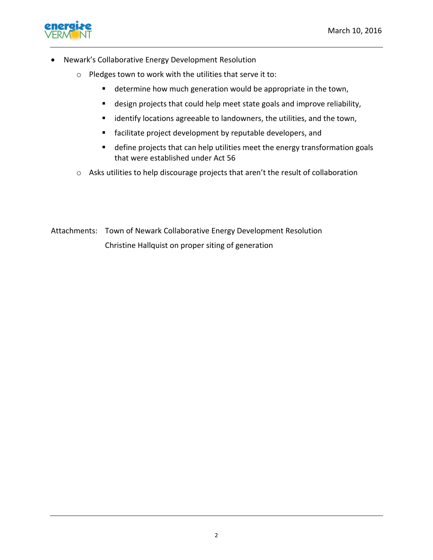

- Newark's Collaborative Energy Development Resolution
	- o Pledges town to work with the utilities that serve it to:
		- **determine how much generation would be appropriate in the town,**
		- design projects that could help meet state goals and improve reliability,
		- **EXEDENT** identify locations agreeable to landowners, the utilities, and the town,
		- facilitate project development by reputable developers, and
		- define projects that can help utilities meet the energy transformation goals that were established under Act 56
	- o Asks utilities to help discourage projects that aren't the result of collaboration

Attachments: Town of Newark Collaborative Energy Development Resolution Christine Hallquist on proper siting of generation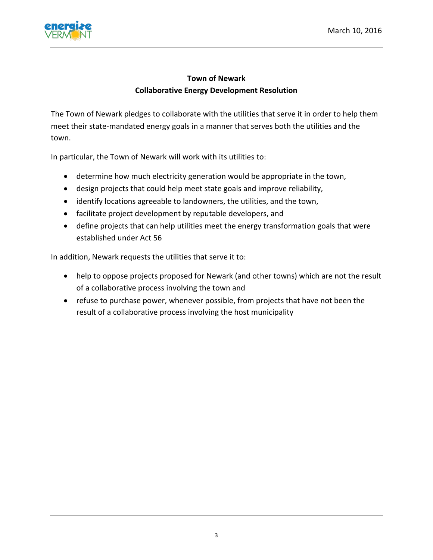

## **Town of Newark Collaborative Energy Development Resolution**

The Town of Newark pledges to collaborate with the utilities that serve it in order to help them meet their state-mandated energy goals in a manner that serves both the utilities and the town.

In particular, the Town of Newark will work with its utilities to:

- determine how much electricity generation would be appropriate in the town,
- design projects that could help meet state goals and improve reliability,
- identify locations agreeable to landowners, the utilities, and the town,
- facilitate project development by reputable developers, and
- define projects that can help utilities meet the energy transformation goals that were established under Act 56

In addition, Newark requests the utilities that serve it to:

- help to oppose projects proposed for Newark (and other towns) which are not the result of a collaborative process involving the town and
- refuse to purchase power, whenever possible, from projects that have not been the result of a collaborative process involving the host municipality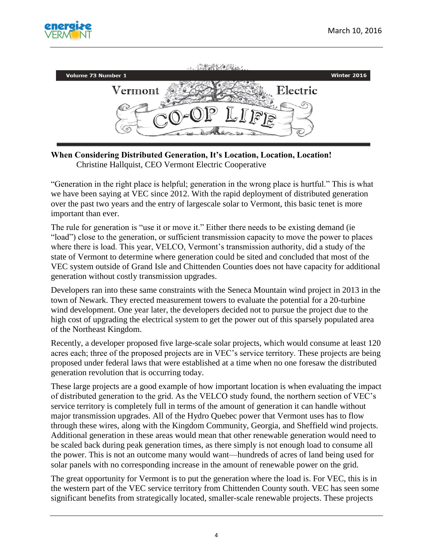



**When Considering Distributed Generation, It's Location, Location, Location!** Christine Hallquist, CEO Vermont Electric Cooperative

"Generation in the right place is helpful; generation in the wrong place is hurtful." This is what we have been saying at VEC since 2012. With the rapid deployment of distributed generation over the past two years and the entry of largescale solar to Vermont, this basic tenet is more important than ever.

The rule for generation is "use it or move it." Either there needs to be existing demand (ie "load") close to the generation, or sufficient transmission capacity to move the power to places where there is load. This year, VELCO, Vermont's transmission authority, did a study of the state of Vermont to determine where generation could be sited and concluded that most of the VEC system outside of Grand Isle and Chittenden Counties does not have capacity for additional generation without costly transmission upgrades.

Developers ran into these same constraints with the Seneca Mountain wind project in 2013 in the town of Newark. They erected measurement towers to evaluate the potential for a 20-turbine wind development. One year later, the developers decided not to pursue the project due to the high cost of upgrading the electrical system to get the power out of this sparsely populated area of the Northeast Kingdom.

Recently, a developer proposed five large-scale solar projects, which would consume at least 120 acres each; three of the proposed projects are in VEC's service territory. These projects are being proposed under federal laws that were established at a time when no one foresaw the distributed generation revolution that is occurring today.

These large projects are a good example of how important location is when evaluating the impact of distributed generation to the grid. As the VELCO study found, the northern section of VEC's service territory is completely full in terms of the amount of generation it can handle without major transmission upgrades. All of the Hydro Quebec power that Vermont uses has to flow through these wires, along with the Kingdom Community, Georgia, and Sheffield wind projects. Additional generation in these areas would mean that other renewable generation would need to be scaled back during peak generation times, as there simply is not enough load to consume all the power. This is not an outcome many would want—hundreds of acres of land being used for solar panels with no corresponding increase in the amount of renewable power on the grid.

The great opportunity for Vermont is to put the generation where the load is. For VEC, this is in the western part of the VEC service territory from Chittenden County south. VEC has seen some significant benefits from strategically located, smaller-scale renewable projects. These projects